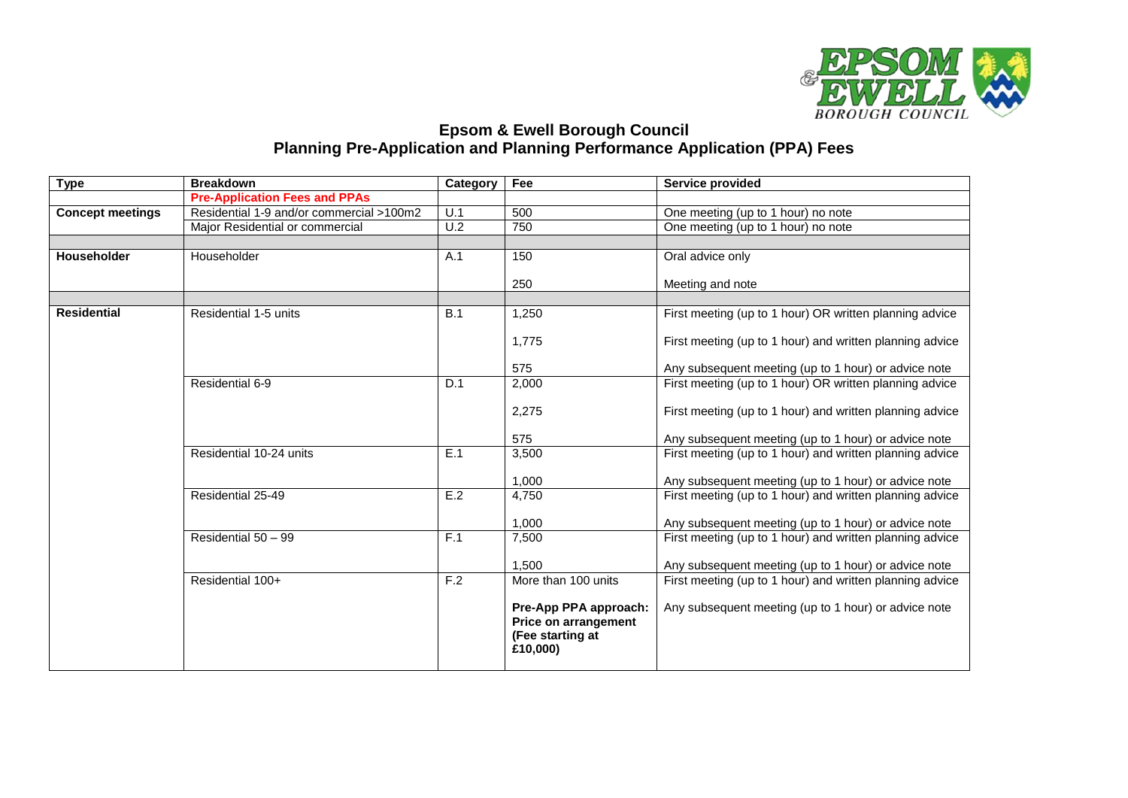

## **Epsom & Ewell Borough Council Planning Pre-Application and Planning Performance Application (PPA) Fees**

| <b>Type</b>             | <b>Breakdown</b>                         | Category         | Fee<br>Service provided                                                       |                                                          |
|-------------------------|------------------------------------------|------------------|-------------------------------------------------------------------------------|----------------------------------------------------------|
|                         | <b>Pre-Application Fees and PPAs</b>     |                  |                                                                               |                                                          |
| <b>Concept meetings</b> | Residential 1-9 and/or commercial >100m2 | U.1              | 500                                                                           | One meeting (up to 1 hour) no note                       |
|                         | Major Residential or commercial          | $\overline{U.2}$ | 750                                                                           | One meeting (up to 1 hour) no note                       |
|                         |                                          |                  |                                                                               |                                                          |
| Householder             | Householder                              | A.1              | 150                                                                           | Oral advice only                                         |
|                         |                                          |                  |                                                                               |                                                          |
|                         |                                          |                  | 250                                                                           | Meeting and note                                         |
| <b>Residential</b>      | Residential 1-5 units                    | B.1              | 1,250                                                                         | First meeting (up to 1 hour) OR written planning advice  |
|                         |                                          |                  |                                                                               |                                                          |
|                         |                                          |                  | 1,775                                                                         | First meeting (up to 1 hour) and written planning advice |
|                         |                                          |                  | 575                                                                           | Any subsequent meeting (up to 1 hour) or advice note     |
|                         | Residential 6-9                          | D.1              | 2,000                                                                         | First meeting (up to 1 hour) OR written planning advice  |
|                         |                                          |                  | 2,275                                                                         | First meeting (up to 1 hour) and written planning advice |
|                         |                                          |                  | 575                                                                           | Any subsequent meeting (up to 1 hour) or advice note     |
|                         | Residential 10-24 units                  | E.1              | 3,500                                                                         | First meeting (up to 1 hour) and written planning advice |
|                         |                                          |                  | 1,000                                                                         | Any subsequent meeting (up to 1 hour) or advice note     |
|                         | Residential 25-49                        | E.2              | 4,750                                                                         | First meeting (up to 1 hour) and written planning advice |
|                         |                                          |                  |                                                                               |                                                          |
|                         |                                          | F.1              | 1,000                                                                         | Any subsequent meeting (up to 1 hour) or advice note     |
|                         | Residential 50 - 99                      |                  | 7,500                                                                         | First meeting (up to 1 hour) and written planning advice |
|                         |                                          |                  | 1.500                                                                         | Any subsequent meeting (up to 1 hour) or advice note     |
|                         | Residential 100+                         | F.2              | More than 100 units                                                           | First meeting (up to 1 hour) and written planning advice |
|                         |                                          |                  | Pre-App PPA approach:<br>Price on arrangement<br>(Fee starting at<br>£10,000) | Any subsequent meeting (up to 1 hour) or advice note     |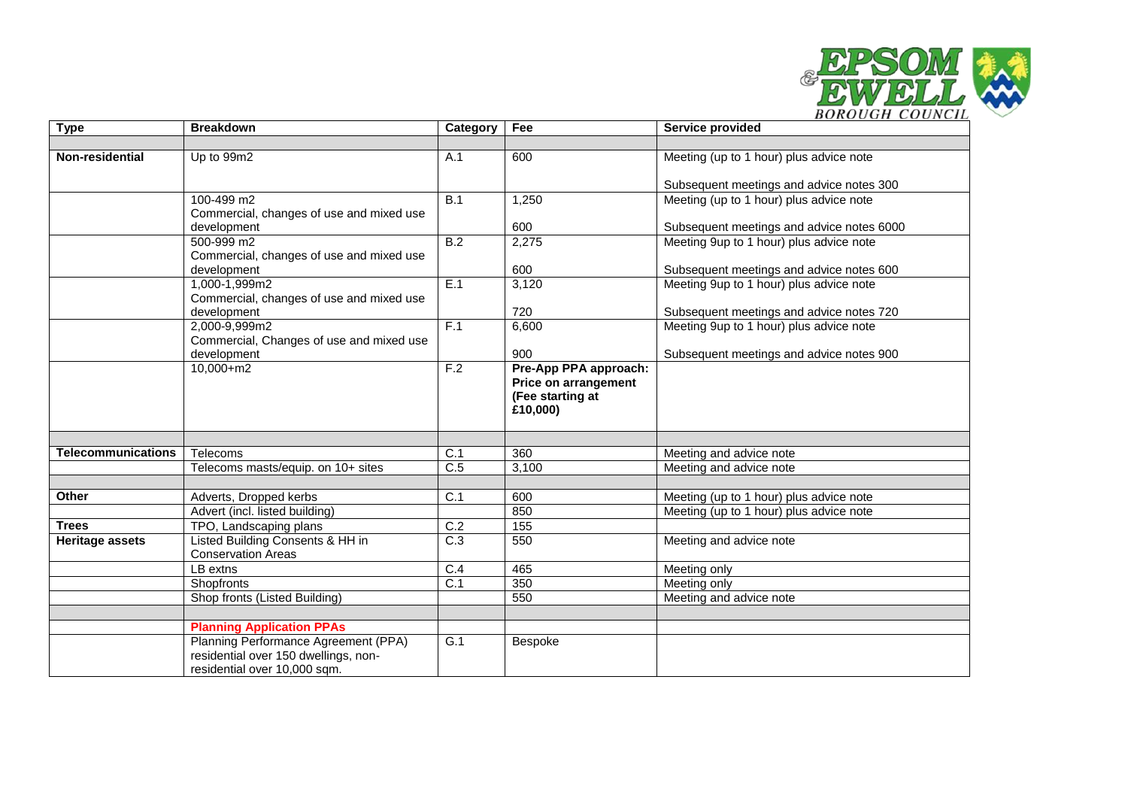

| <b>Type</b>               | <b>Breakdown</b>                         | Category         | Fee                                      | Service provided                          |
|---------------------------|------------------------------------------|------------------|------------------------------------------|-------------------------------------------|
|                           |                                          |                  |                                          |                                           |
| <b>Non-residential</b>    | Up to 99m2                               | A.1              | 600                                      | Meeting (up to 1 hour) plus advice note   |
|                           |                                          |                  |                                          |                                           |
|                           |                                          |                  |                                          | Subsequent meetings and advice notes 300  |
|                           | 100-499 m2                               | $\overline{B.1}$ | 1,250                                    | Meeting (up to 1 hour) plus advice note   |
|                           | Commercial, changes of use and mixed use |                  |                                          |                                           |
|                           | development                              |                  | 600                                      | Subsequent meetings and advice notes 6000 |
|                           | 500-999 m2                               | $\overline{B.2}$ | 2,275                                    | Meeting 9up to 1 hour) plus advice note   |
|                           | Commercial, changes of use and mixed use |                  |                                          |                                           |
|                           | development                              |                  | 600                                      | Subsequent meetings and advice notes 600  |
|                           | 1,000-1,999m2                            | E.1              | 3,120                                    | Meeting 9up to 1 hour) plus advice note   |
|                           | Commercial, changes of use and mixed use |                  |                                          |                                           |
|                           | development                              |                  | 720                                      | Subsequent meetings and advice notes 720  |
|                           | 2,000-9,999m2                            | F.1              | 6,600                                    | Meeting 9up to 1 hour) plus advice note   |
|                           | Commercial, Changes of use and mixed use |                  |                                          |                                           |
|                           | development<br>10,000+m2                 | F.2              | 900                                      | Subsequent meetings and advice notes 900  |
|                           |                                          |                  | Pre-App PPA approach:                    |                                           |
|                           |                                          |                  | Price on arrangement<br>(Fee starting at |                                           |
|                           |                                          |                  | £10,000)                                 |                                           |
|                           |                                          |                  |                                          |                                           |
|                           |                                          |                  |                                          |                                           |
| <b>Telecommunications</b> | Telecoms                                 | $\overline{C.1}$ | 360                                      | Meeting and advice note                   |
|                           | Telecoms masts/equip. on 10+ sites       | $\overline{C.5}$ | 3,100                                    | Meeting and advice note                   |
|                           |                                          |                  |                                          |                                           |
| Other                     | Adverts, Dropped kerbs                   | C.1              | 600                                      | Meeting (up to 1 hour) plus advice note   |
|                           | Advert (incl. listed building)           |                  | 850                                      | Meeting (up to 1 hour) plus advice note   |
| <b>Trees</b>              | TPO, Landscaping plans                   | C.2              | 155                                      |                                           |
| <b>Heritage assets</b>    | Listed Building Consents & HH in         | $\overline{C.3}$ | 550                                      | Meeting and advice note                   |
|                           | <b>Conservation Areas</b>                |                  |                                          |                                           |
|                           | LB extns                                 | C.4              | 465                                      | Meeting only                              |
|                           | Shopfronts                               | C.1              | 350                                      | Meeting only                              |
|                           | Shop fronts (Listed Building)            |                  | 550                                      | Meeting and advice note                   |
|                           |                                          |                  |                                          |                                           |
|                           | <b>Planning Application PPAs</b>         |                  |                                          |                                           |
|                           | Planning Performance Agreement (PPA)     | G.1              | Bespoke                                  |                                           |
|                           | residential over 150 dwellings, non-     |                  |                                          |                                           |
|                           | residential over 10,000 sqm.             |                  |                                          |                                           |